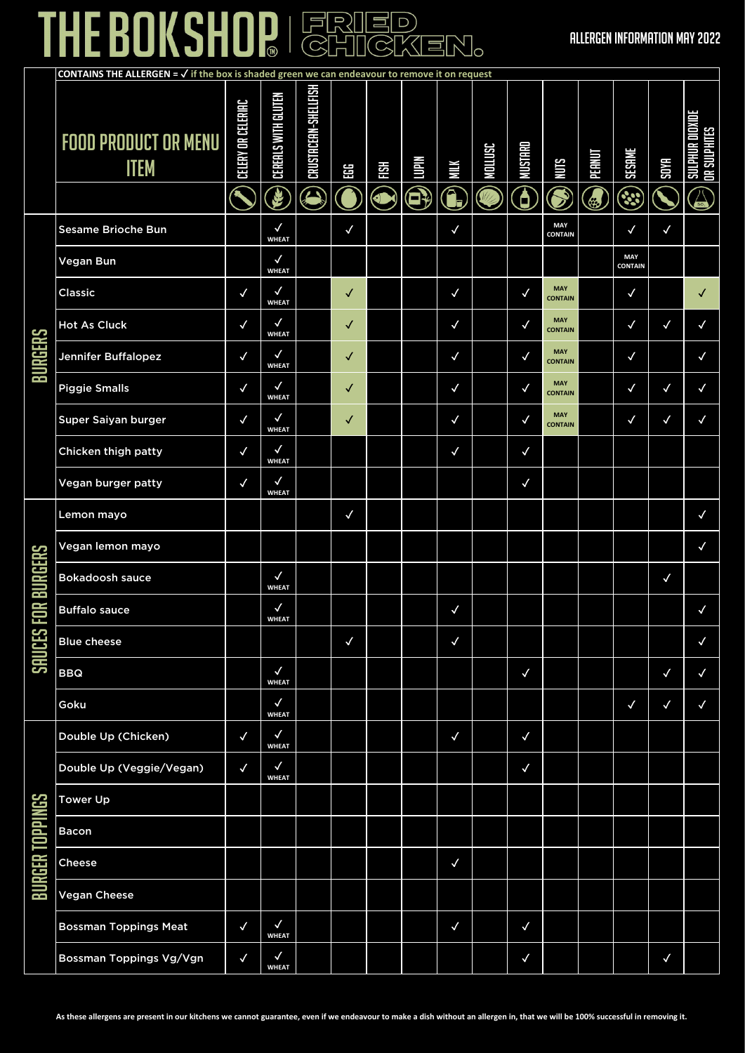### THE BOKSHOP FRIED

|                    | <b>CONTAINS THE ALLERGEN = <math>\sqrt{ }</math> if the box is shaded green we can endeavour to remove it on request</b> |                    |                              |                           |              |                  |                             |              |                          |                               |                              |             |                    |              |                                                    |
|--------------------|--------------------------------------------------------------------------------------------------------------------------|--------------------|------------------------------|---------------------------|--------------|------------------|-----------------------------|--------------|--------------------------|-------------------------------|------------------------------|-------------|--------------------|--------------|----------------------------------------------------|
|                    | <b>FOOD PRODUCT OR MENU</b><br><b>ITEM</b>                                                                               | CELERY OR CELERIAC | CEREALS WITH GLUTEN<br>E     | CRUSTACEAN-SHELLFISH<br>O | EGG          | HSH<br><b>OM</b> | <b>Niami</b><br>$\bigoplus$ | MШК<br>G     | NOLLUSC<br>$\frac{1}{2}$ | <b>MUSTARD</b><br>$\bigoplus$ | <b>SINN</b><br>$\mathbb{S}$  | PEANUT<br>٢ | <b>SESAME</b><br>٩ | <b>SOYA</b>  | <b>UR DIOXIDE</b><br><b>OR SULPHITES</b><br>昬<br>冨 |
|                    | <b>Sesame Brioche Bun</b>                                                                                                |                    | $\checkmark$<br><b>WHEAT</b> |                           | $\checkmark$ |                  |                             | $\checkmark$ |                          |                               | <b>MAY</b><br>CONTAIN        |             | $\checkmark$       | $\checkmark$ |                                                    |
|                    | Vegan Bun                                                                                                                |                    | $\checkmark$<br><b>WHEAT</b> |                           |              |                  |                             |              |                          |                               |                              |             | MAY<br>CONTAIN     |              |                                                    |
|                    | Classic                                                                                                                  | $\checkmark$       | $\checkmark$<br><b>WHEAT</b> |                           | ✓            |                  |                             | $\checkmark$ |                          | ✓                             | <b>MAY</b><br><b>CONTAIN</b> |             | $\checkmark$       |              | √                                                  |
|                    | <b>Hot As Cluck</b>                                                                                                      | $\checkmark$       | $\checkmark$<br><b>WHEAT</b> |                           | ✓            |                  |                             | $\checkmark$ |                          | √                             | <b>MAY</b><br><b>CONTAIN</b> |             | $\checkmark$       | $\checkmark$ | $\checkmark$                                       |
| <b>BURGERS</b>     | Jennifer Buffalopez                                                                                                      | $\checkmark$       | $\checkmark$<br><b>WHEAT</b> |                           | $\checkmark$ |                  |                             | $\checkmark$ |                          | ✓                             | <b>MAY</b><br><b>CONTAIN</b> |             | $\checkmark$       |              | $\checkmark$                                       |
|                    | <b>Piggie Smalls</b>                                                                                                     | $\checkmark$       | $\checkmark$<br><b>WHEAT</b> |                           | √            |                  |                             | $\checkmark$ |                          | ✓                             | <b>MAY</b><br><b>CONTAIN</b> |             | $\checkmark$       | ✓            | $\checkmark$                                       |
|                    | Super Saiyan burger                                                                                                      | $\checkmark$       | $\checkmark$<br><b>WHEAT</b> |                           | ✓            |                  |                             | $\checkmark$ |                          | ✓                             | <b>MAY</b><br><b>CONTAIN</b> |             | ✓                  | ✓            | $\checkmark$                                       |
|                    | Chicken thigh patty                                                                                                      | $\checkmark$       | ✓<br><b>WHEAT</b>            |                           |              |                  |                             | $\checkmark$ |                          | $\checkmark$                  |                              |             |                    |              |                                                    |
|                    | Vegan burger patty                                                                                                       | $\checkmark$       | $\checkmark$<br><b>WHEAT</b> |                           |              |                  |                             |              |                          | $\checkmark$                  |                              |             |                    |              |                                                    |
|                    | Lemon mayo                                                                                                               |                    |                              |                           | $\checkmark$ |                  |                             |              |                          |                               |                              |             |                    |              | $\checkmark$                                       |
|                    | Vegan lemon mayo                                                                                                         |                    |                              |                           |              |                  |                             |              |                          |                               |                              |             |                    |              | $\checkmark$                                       |
| SAUCES FOR BURGERS | Bokadoosh sauce                                                                                                          |                    | $\checkmark$<br><b>WHEAT</b> |                           |              |                  |                             |              |                          |                               |                              |             |                    | $\checkmark$ |                                                    |
|                    | <b>Buffalo sauce</b>                                                                                                     |                    | $\checkmark$<br><b>WHEAT</b> |                           |              |                  |                             | $\checkmark$ |                          |                               |                              |             |                    |              | $\checkmark$                                       |
|                    | <b>Blue cheese</b>                                                                                                       |                    |                              |                           | $\checkmark$ |                  |                             | $\checkmark$ |                          |                               |                              |             |                    |              | $\checkmark$                                       |
|                    | <b>BBQ</b>                                                                                                               |                    | $\checkmark$<br><b>WHEAT</b> |                           |              |                  |                             |              |                          | $\checkmark$                  |                              |             |                    | $\checkmark$ | $\checkmark$                                       |
|                    | Goku                                                                                                                     |                    | $\checkmark$<br><b>WHEAT</b> |                           |              |                  |                             |              |                          |                               |                              |             | $\checkmark$       | $\checkmark$ | $\checkmark$                                       |
|                    | Double Up (Chicken)                                                                                                      | $\checkmark$       | $\checkmark$<br><b>WHEAT</b> |                           |              |                  |                             | $\checkmark$ |                          | $\checkmark$                  |                              |             |                    |              |                                                    |
|                    | Double Up (Veggie/Vegan)                                                                                                 | $\checkmark$       | $\checkmark$<br><b>WHEAT</b> |                           |              |                  |                             |              |                          | $\checkmark$                  |                              |             |                    |              |                                                    |
|                    | <b>Tower Up</b>                                                                                                          |                    |                              |                           |              |                  |                             |              |                          |                               |                              |             |                    |              |                                                    |
|                    | <b>Bacon</b>                                                                                                             |                    |                              |                           |              |                  |                             |              |                          |                               |                              |             |                    |              |                                                    |
| BURGER TOPPINGS    | Cheese                                                                                                                   |                    |                              |                           |              |                  |                             | $\checkmark$ |                          |                               |                              |             |                    |              |                                                    |
|                    | <b>Vegan Cheese</b>                                                                                                      |                    |                              |                           |              |                  |                             |              |                          |                               |                              |             |                    |              |                                                    |
|                    | <b>Bossman Toppings Meat</b>                                                                                             | $\checkmark$       | $\checkmark$<br><b>WHEAT</b> |                           |              |                  |                             | $\checkmark$ |                          | ✓                             |                              |             |                    |              |                                                    |
|                    | Bossman Toppings Vg/Vgn                                                                                                  | $\checkmark$       | $\checkmark$<br><b>WHEAT</b> |                           |              |                  |                             |              |                          | $\checkmark$                  |                              |             |                    | $\checkmark$ |                                                    |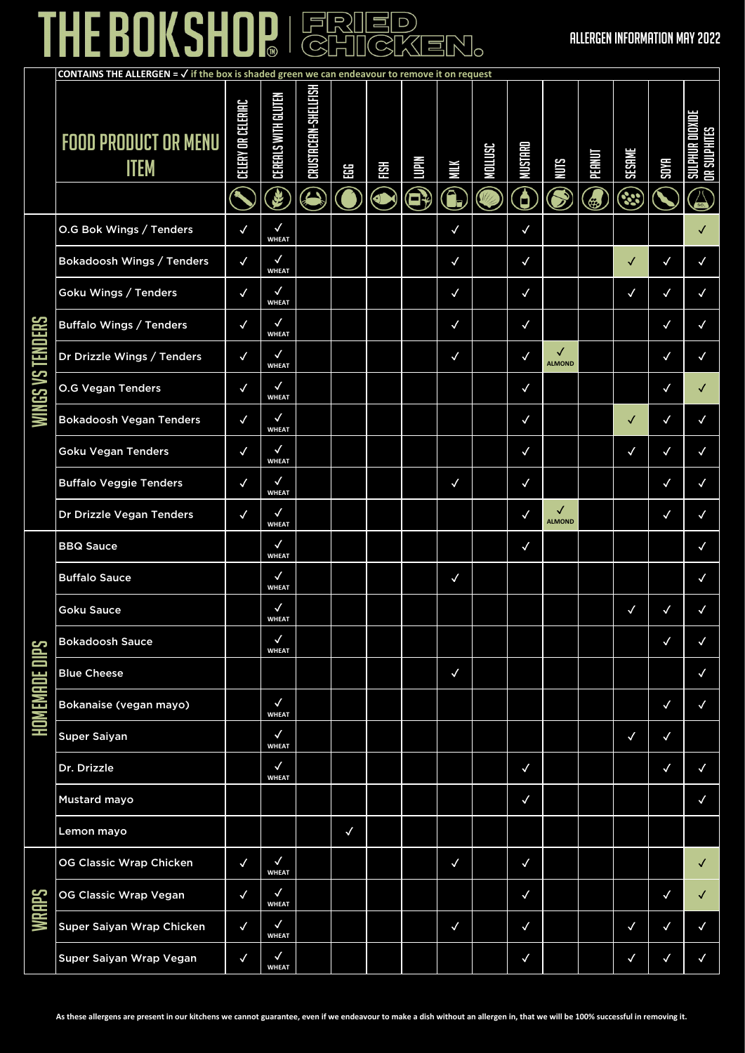### THE BOKSHOP FRIED

|                         | <b>CONTAINS THE ALLERGEN = <math>\sqrt{ }</math> if the box is shaded green we can endeavour to remove it on request</b> |                    |                              |                           |              |            |             |              |                          |                              |                    |              |                    |              |                                                   |
|-------------------------|--------------------------------------------------------------------------------------------------------------------------|--------------------|------------------------------|---------------------------|--------------|------------|-------------|--------------|--------------------------|------------------------------|--------------------|--------------|--------------------|--------------|---------------------------------------------------|
|                         | <b>FOOD PRODUCT OR MENU</b><br><b>ITEM</b>                                                                               | CELERY OR CELERIAC | CEREALS WITH GLUTEN<br>E     | CRUSTACEAN-SHELLFISH<br>S | EGG          | FISH<br>0N | Nlaint<br>8 | ΜШΚ<br>Ĉ,    | NOLLUSC<br>$\frac{1}{2}$ | <b>MUSTARD</b><br>$\bigcirc$ | NUTS               | <b>TANHI</b> | <b>SESAME</b><br>ઙ | <b>SOYA</b>  | UR DIOXIDE<br><b>OR SULPHITES</b><br><b>HHTIS</b> |
|                         |                                                                                                                          |                    | $\checkmark$                 |                           |              |            |             |              |                          |                              |                    |              |                    |              |                                                   |
|                         | O.G Bok Wings / Tenders                                                                                                  | $\checkmark$       | <b>WHEAT</b>                 |                           |              |            |             | $\checkmark$ |                          | $\checkmark$                 |                    |              |                    |              |                                                   |
|                         | <b>Bokadoosh Wings / Tenders</b>                                                                                         | $\checkmark$       | $\checkmark$<br><b>WHEAT</b> |                           |              |            |             | $\checkmark$ |                          | $\checkmark$                 |                    |              |                    | $\checkmark$ | $\checkmark$                                      |
|                         | Goku Wings / Tenders                                                                                                     | $\checkmark$       | $\checkmark$<br><b>WHEAT</b> |                           |              |            |             | $\checkmark$ |                          | $\checkmark$                 |                    |              | ✓                  | ✓            | $\checkmark$                                      |
|                         | <b>Buffalo Wings / Tenders</b>                                                                                           | $\checkmark$       | $\checkmark$<br><b>WHEAT</b> |                           |              |            |             | $\checkmark$ |                          | $\checkmark$                 |                    |              |                    | $\checkmark$ | $\checkmark$                                      |
|                         | Dr Drizzle Wings / Tenders                                                                                               | $\checkmark$       | $\checkmark$<br><b>WHEAT</b> |                           |              |            |             | $\checkmark$ |                          | ✓                            | √<br><b>ALMOND</b> |              |                    | $\checkmark$ | $\checkmark$                                      |
| <b>WINGS VS TENDERS</b> | <b>O.G Vegan Tenders</b>                                                                                                 | $\checkmark$       | $\checkmark$<br><b>WHEAT</b> |                           |              |            |             |              |                          | $\checkmark$                 |                    |              |                    | ✓            |                                                   |
|                         | <b>Bokadoosh Vegan Tenders</b>                                                                                           | $\checkmark$       | $\checkmark$<br><b>WHEAT</b> |                           |              |            |             |              |                          | $\checkmark$                 |                    |              | ✓                  | $\checkmark$ | $\checkmark$                                      |
|                         | <b>Goku Vegan Tenders</b>                                                                                                | $\checkmark$       | $\checkmark$<br><b>WHEAT</b> |                           |              |            |             |              |                          | $\checkmark$                 |                    |              | $\checkmark$       | ✓            | $\checkmark$                                      |
|                         | <b>Buffalo Veggie Tenders</b>                                                                                            | $\checkmark$       | $\checkmark$<br><b>WHEAT</b> |                           |              |            |             | $\checkmark$ |                          | $\checkmark$                 |                    |              |                    | $\checkmark$ | $\checkmark$                                      |
|                         | Dr Drizzle Vegan Tenders                                                                                                 | $\checkmark$       | $\checkmark$<br><b>WHEAT</b> |                           |              |            |             |              |                          | √                            | √<br><b>ALMOND</b> |              |                    | ✓            | $\checkmark$                                      |
|                         | <b>BBQ Sauce</b>                                                                                                         |                    | $\checkmark$<br><b>WHEAT</b> |                           |              |            |             |              |                          | $\checkmark$                 |                    |              |                    |              | $\checkmark$                                      |
|                         | <b>Buffalo Sauce</b>                                                                                                     |                    | $\checkmark$<br><b>WHEAT</b> |                           |              |            |             | $\checkmark$ |                          |                              |                    |              |                    |              | $\checkmark$                                      |
|                         | <b>Goku Sauce</b>                                                                                                        |                    | $\checkmark$<br><b>WHEAT</b> |                           |              |            |             |              |                          |                              |                    |              |                    |              | ✓                                                 |
|                         | <b>Bokadoosh Sauce</b>                                                                                                   |                    | $\checkmark$<br><b>WHEAT</b> |                           |              |            |             |              |                          |                              |                    |              |                    | $\checkmark$ | $\checkmark$                                      |
|                         | <b>Blue Cheese</b>                                                                                                       |                    |                              |                           |              |            |             | $\checkmark$ |                          |                              |                    |              |                    |              | $\checkmark$                                      |
| <b>HOMEMADE DIPS</b>    | Bokanaise (vegan mayo)                                                                                                   |                    | $\checkmark$<br><b>WHEAT</b> |                           |              |            |             |              |                          |                              |                    |              |                    | $\checkmark$ | $\checkmark$                                      |
|                         | <b>Super Saiyan</b>                                                                                                      |                    | $\checkmark$<br><b>WHEAT</b> |                           |              |            |             |              |                          |                              |                    |              | $\checkmark$       | $\checkmark$ |                                                   |
|                         | Dr. Drizzle                                                                                                              |                    | $\checkmark$<br><b>WHEAT</b> |                           |              |            |             |              |                          | $\checkmark$                 |                    |              |                    | $\checkmark$ | $\checkmark$                                      |
|                         | Mustard mayo                                                                                                             |                    |                              |                           |              |            |             |              |                          | $\checkmark$                 |                    |              |                    |              | $\checkmark$                                      |
|                         | Lemon mayo                                                                                                               |                    |                              |                           | $\checkmark$ |            |             |              |                          |                              |                    |              |                    |              |                                                   |
|                         | OG Classic Wrap Chicken                                                                                                  | $\checkmark$       | $\checkmark$<br><b>WHEAT</b> |                           |              |            |             | $\checkmark$ |                          | $\checkmark$                 |                    |              |                    |              | ✓                                                 |
| <b>WRAPS</b>            | OG Classic Wrap Vegan                                                                                                    | $\checkmark$       | $\checkmark$<br><b>WHEAT</b> |                           |              |            |             |              |                          | $\checkmark$                 |                    |              |                    | $\checkmark$ | $\checkmark$                                      |
|                         | Super Saiyan Wrap Chicken                                                                                                | $\checkmark$       | $\checkmark$<br><b>WHEAT</b> |                           |              |            |             | $\checkmark$ |                          | $\checkmark$                 |                    |              | $\checkmark$       | $\checkmark$ | $\checkmark$                                      |
|                         | Super Saiyan Wrap Vegan                                                                                                  | $\checkmark$       | $\checkmark$<br><b>WHEAT</b> |                           |              |            |             |              |                          | $\checkmark$                 |                    |              | $\checkmark$       | $\checkmark$ | $\checkmark$                                      |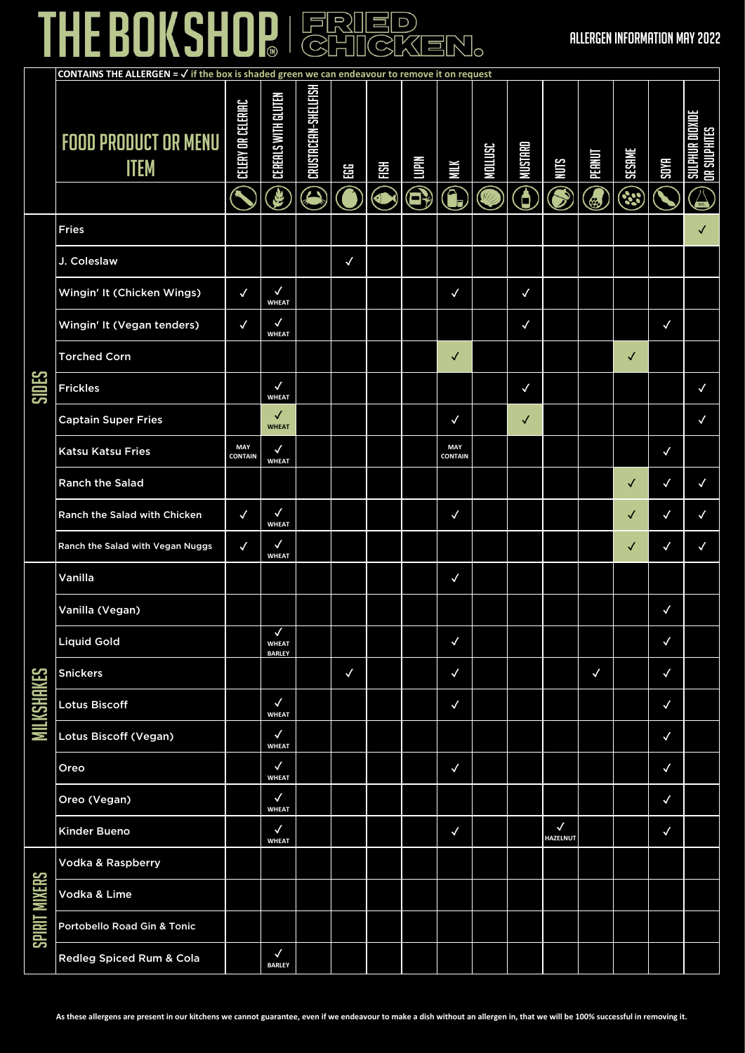# THE BOKSHOP | FRIED

#### ALLERGEN INFORMATION MAY 2022

|                      |                                            | <b>CONTAINS THE ALLERGEN = <math>\checkmark</math> if the box is shaded green we can endeavour to remove it on request</b> |                                    |                           |              |           |                   |                       |         |                                     |                                 |                   |                     |              |                                                 |
|----------------------|--------------------------------------------|----------------------------------------------------------------------------------------------------------------------------|------------------------------------|---------------------------|--------------|-----------|-------------------|-----------------------|---------|-------------------------------------|---------------------------------|-------------------|---------------------|--------------|-------------------------------------------------|
|                      | <b>FOOD PRODUCT OR MENU</b><br><b>ITEM</b> | <b>CELERY OR CELERIAC</b>                                                                                                  | <b>CEREALS WITH GLUTEN</b><br>G    | CRUSTACEAN-SHELLFISH<br>Д | ΕG           | H8H<br>J) | <b>Nidmi</b><br>8 | ЖIIК<br>G             | NOLLUSC | <b>MUSTARD</b><br>$\bf \overline 0$ | SINN                            | <b>JUNEd</b><br>٢ | SESAME<br><u>وي</u> | <b>SOYA</b>  | UR DIOXI<br><b>JR SULPHITES</b><br><b>HHTIC</b> |
|                      | <b>Fries</b>                               |                                                                                                                            |                                    |                           |              |           |                   |                       |         |                                     |                                 |                   |                     |              |                                                 |
|                      | J. Coleslaw                                |                                                                                                                            |                                    |                           | $\checkmark$ |           |                   |                       |         |                                     |                                 |                   |                     |              |                                                 |
|                      | Wingin' It (Chicken Wings)                 | $\checkmark$                                                                                                               | $\checkmark$<br><b>WHEAT</b>       |                           |              |           |                   | $\checkmark$          |         | $\checkmark$                        |                                 |                   |                     |              |                                                 |
|                      | Wingin' It (Vegan tenders)                 | $\checkmark$                                                                                                               | $\checkmark$<br><b>WHEAT</b>       |                           |              |           |                   |                       |         | $\checkmark$                        |                                 |                   |                     | $\checkmark$ |                                                 |
|                      | <b>Torched Corn</b>                        |                                                                                                                            |                                    |                           |              |           |                   | ✓                     |         |                                     |                                 |                   | ✓                   |              |                                                 |
| <b>SIDES</b>         | <b>Frickles</b>                            |                                                                                                                            | $\checkmark$<br><b>WHEAT</b>       |                           |              |           |                   |                       |         | ✓                                   |                                 |                   |                     |              | $\checkmark$                                    |
|                      | <b>Captain Super Fries</b>                 |                                                                                                                            | ✓<br><b>WHEAT</b>                  |                           |              |           |                   | $\checkmark$          |         | √                                   |                                 |                   |                     |              | $\checkmark$                                    |
|                      | <b>Katsu Katsu Fries</b>                   | MAY<br><b>CONTAIN</b>                                                                                                      | $\checkmark$<br><b>WHEAT</b>       |                           |              |           |                   | MAY<br><b>CONTAIN</b> |         |                                     |                                 |                   |                     | $\checkmark$ |                                                 |
|                      | <b>Ranch the Salad</b>                     |                                                                                                                            |                                    |                           |              |           |                   |                       |         |                                     |                                 |                   | ✓                   | $\checkmark$ | $\checkmark$                                    |
|                      | Ranch the Salad with Chicken               | $\checkmark$                                                                                                               | $\checkmark$<br><b>WHEAT</b>       |                           |              |           |                   | $\checkmark$          |         |                                     |                                 |                   |                     | $\checkmark$ | $\checkmark$                                    |
|                      | Ranch the Salad with Vegan Nuggs           | ✓                                                                                                                          | $\checkmark$<br><b>WHEAT</b>       |                           |              |           |                   |                       |         |                                     |                                 |                   | ✓                   | ✓            | $\checkmark$                                    |
|                      | Vanilla                                    |                                                                                                                            |                                    |                           |              |           |                   | $\checkmark$          |         |                                     |                                 |                   |                     |              |                                                 |
|                      | Vanilla (Vegan)                            |                                                                                                                            |                                    |                           |              |           |                   |                       |         |                                     |                                 |                   |                     | $\checkmark$ |                                                 |
|                      | <b>Liquid Gold</b>                         |                                                                                                                            | ✓<br><b>WHEAT</b><br><b>BARLEY</b> |                           |              |           |                   | $\checkmark$          |         |                                     |                                 |                   |                     | $\checkmark$ |                                                 |
|                      | <b>Snickers</b>                            |                                                                                                                            |                                    |                           | $\checkmark$ |           |                   | $\checkmark$          |         |                                     |                                 | $\checkmark$      |                     | $\checkmark$ |                                                 |
| <b>MILKSHAKES</b>    | Lotus Biscoff                              |                                                                                                                            | $\checkmark$<br><b>WHEAT</b>       |                           |              |           |                   | $\checkmark$          |         |                                     |                                 |                   |                     | $\checkmark$ |                                                 |
|                      | Lotus Biscoff (Vegan)                      |                                                                                                                            | $\checkmark$<br><b>WHEAT</b>       |                           |              |           |                   |                       |         |                                     |                                 |                   |                     | $\checkmark$ |                                                 |
|                      | Oreo                                       |                                                                                                                            | $\checkmark$<br><b>WHEAT</b>       |                           |              |           |                   | $\checkmark$          |         |                                     |                                 |                   |                     | $\checkmark$ |                                                 |
|                      | Oreo (Vegan)                               |                                                                                                                            | $\checkmark$<br><b>WHEAT</b>       |                           |              |           |                   |                       |         |                                     |                                 |                   |                     | $\checkmark$ |                                                 |
|                      | Kinder Bueno                               |                                                                                                                            | $\blacklozenge$<br><b>WHEAT</b>    |                           |              |           |                   | $\checkmark$          |         |                                     | $\checkmark$<br><b>HAZELNUT</b> |                   |                     | $\checkmark$ |                                                 |
|                      | Vodka & Raspberry                          |                                                                                                                            |                                    |                           |              |           |                   |                       |         |                                     |                                 |                   |                     |              |                                                 |
| <b>SPIRIT MIXERS</b> | Vodka & Lime                               |                                                                                                                            |                                    |                           |              |           |                   |                       |         |                                     |                                 |                   |                     |              |                                                 |
|                      | Portobello Road Gin & Tonic                |                                                                                                                            |                                    |                           |              |           |                   |                       |         |                                     |                                 |                   |                     |              |                                                 |
|                      | Redleg Spiced Rum & Cola                   |                                                                                                                            | $\checkmark$<br><b>BARLEY</b>      |                           |              |           |                   |                       |         |                                     |                                 |                   |                     |              |                                                 |